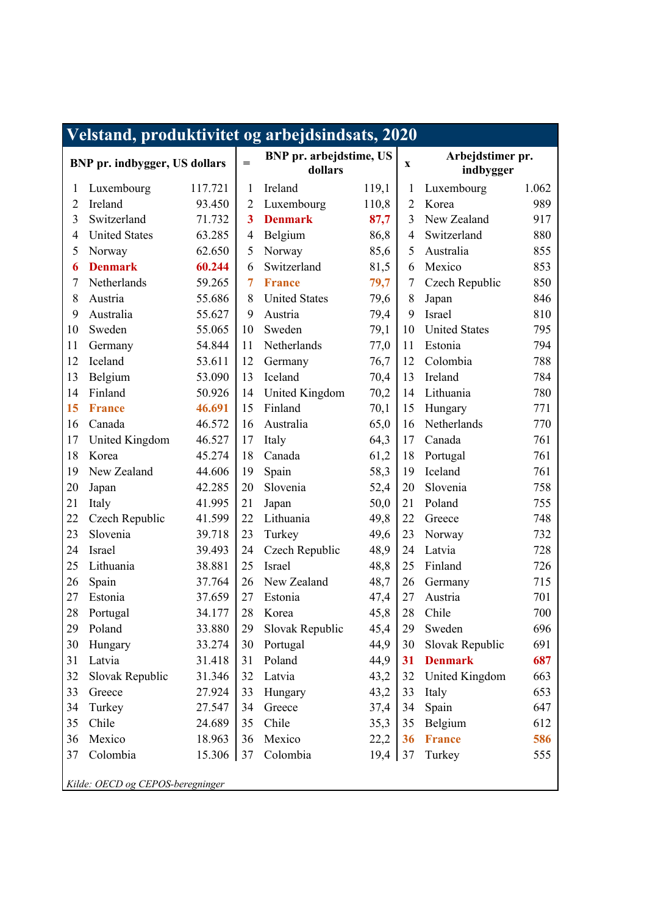| Velstand, produktivitet og arbejdsindsats, 2020 |                      |         |                         |                                           |       |                |                               |       |  |
|-------------------------------------------------|----------------------|---------|-------------------------|-------------------------------------------|-------|----------------|-------------------------------|-------|--|
| <b>BNP</b> pr. indbygger, US dollars            |                      |         | $=$                     | <b>BNP</b> pr. arbejdstime, US<br>dollars |       |                | Arbejdstimer pr.<br>indbygger |       |  |
| 1                                               | Luxembourg           | 117.721 | 1                       | Ireland                                   | 119,1 | 1              | Luxembourg                    | 1.062 |  |
| $\overline{2}$                                  | Ireland              | 93.450  | $\overline{2}$          | Luxembourg                                | 110,8 | $\overline{2}$ | Korea                         | 989   |  |
| 3                                               | Switzerland          | 71.732  | $\overline{\mathbf{3}}$ | <b>Denmark</b>                            | 87,7  | 3              | New Zealand                   | 917   |  |
| 4                                               | <b>United States</b> | 63.285  | $\overline{4}$          | Belgium                                   | 86,8  | 4              | Switzerland                   | 880   |  |
| 5                                               | Norway               | 62.650  | 5                       | Norway                                    | 85,6  | 5              | Australia                     | 855   |  |
| 6                                               | <b>Denmark</b>       | 60.244  | 6                       | Switzerland                               | 81,5  | 6              | Mexico                        | 853   |  |
| 7                                               | Netherlands          | 59.265  | 7                       | <b>France</b>                             | 79,7  | 7              | Czech Republic                | 850   |  |
| 8                                               | Austria              | 55.686  | 8                       | <b>United States</b>                      | 79,6  | 8              | Japan                         | 846   |  |
| 9                                               | Australia            | 55.627  | 9                       | Austria                                   | 79,4  | 9              | Israel                        | 810   |  |
| 10                                              | Sweden               | 55.065  | 10                      | Sweden                                    | 79,1  | 10             | <b>United States</b>          | 795   |  |
| 11                                              | Germany              | 54.844  | 11                      | Netherlands                               | 77,0  | 11             | Estonia                       | 794   |  |
| 12                                              | Iceland              | 53.611  | 12                      | Germany                                   | 76,7  | 12             | Colombia                      | 788   |  |
| 13                                              | Belgium              | 53.090  | 13                      | Iceland                                   | 70,4  | 13             | Ireland                       | 784   |  |
| 14                                              | Finland              | 50.926  | 14                      | United Kingdom                            | 70,2  | 14             | Lithuania                     | 780   |  |
| 15                                              | <b>France</b>        | 46.691  | 15                      | Finland                                   | 70,1  | 15             | Hungary                       | 771   |  |
| 16                                              | Canada               | 46.572  | 16                      | Australia                                 | 65,0  | 16             | Netherlands                   | 770   |  |
| 17                                              | United Kingdom       | 46.527  | 17                      | Italy                                     | 64,3  | 17             | Canada                        | 761   |  |
| 18                                              | Korea                | 45.274  | 18                      | Canada                                    | 61,2  | 18             | Portugal                      | 761   |  |
| 19                                              | New Zealand          | 44.606  | 19                      | Spain                                     | 58,3  | 19             | Iceland                       | 761   |  |
| 20                                              | Japan                | 42.285  | 20                      | Slovenia                                  | 52,4  | 20             | Slovenia                      | 758   |  |
| 21                                              | Italy                | 41.995  | 21                      | Japan                                     | 50,0  | 21             | Poland                        | 755   |  |
| 22                                              | Czech Republic       | 41.599  | 22                      | Lithuania                                 | 49,8  | 22             | Greece                        | 748   |  |
| 23                                              | Slovenia             | 39.718  | 23                      | Turkey                                    | 49,6  | 23             | Norway                        | 732   |  |
| 24                                              | Israel               | 39.493  | 24                      | Czech Republic                            | 48,9  | 24             | Latvia                        | 728   |  |
| 25                                              | Lithuania            | 38.881  | 25                      | Israel                                    | 48,8  | 25             | Finland                       | 726   |  |
| 26                                              | Spain                | 37.764  | 26                      | New Zealand                               | 48,7  | 26             | Germany                       | 715   |  |
| 27                                              | Estonia              | 37.659  | 27                      | Estonia                                   | 47,4  | 27             | Austria                       | 701   |  |
| 28                                              | Portugal             | 34.177  | 28                      | Korea                                     | 45,8  | $28\,$         | Chile                         | 700   |  |
| 29                                              | Poland               | 33.880  | 29                      | Slovak Republic                           | 45,4  | 29             | Sweden                        | 696   |  |
| 30                                              | Hungary              | 33.274  | 30                      | Portugal                                  | 44,9  | 30             | Slovak Republic               | 691   |  |
| 31                                              | Latvia               | 31.418  | 31                      | Poland                                    | 44,9  | 31             | <b>Denmark</b>                | 687   |  |
| 32                                              | Slovak Republic      | 31.346  | 32                      | Latvia                                    | 43,2  | 32             | United Kingdom                | 663   |  |
| 33                                              | Greece               | 27.924  | 33                      | Hungary                                   | 43,2  | 33             | Italy                         | 653   |  |
| 34                                              | Turkey               | 27.547  | 34                      | Greece                                    | 37,4  | 34             | Spain                         | 647   |  |
| 35                                              | Chile                | 24.689  | 35                      | Chile                                     | 35,3  | 35             | Belgium                       | 612   |  |
| 36                                              | Mexico               | 18.963  | 36                      | Mexico                                    | 22,2  | 36             | <b>France</b>                 | 586   |  |
| 37                                              | Colombia             | 15.306  | 37                      | Colombia                                  | 19,4  | 37             | Turkey                        | 555   |  |
| Kilde: OECD og CEPOS-beregninger                |                      |         |                         |                                           |       |                |                               |       |  |